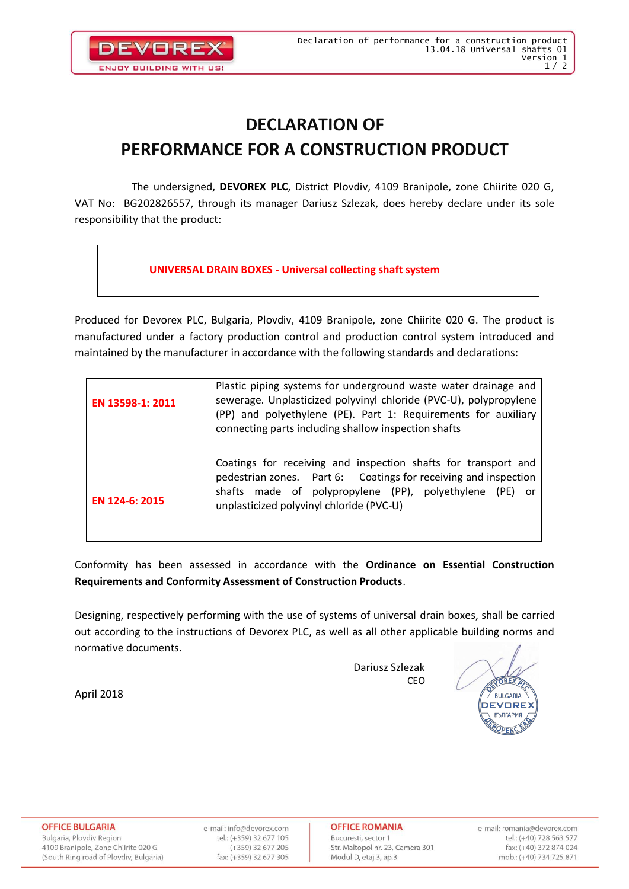

### **DECLARATION OF PERFORMANCE FOR A CONSTRUCTION PRODUCT**

The undersigned, **DEVOREX PLC**, District Plovdiv, 4109 Branipole, zone Chiirite 020 G, VAT No: BG202826557, through its manager Dariusz Szlezak, does hereby declare under its sole responsibility that the product:

#### **UNIVERSAL DRAIN BOXES - Universal collecting shaft system**

Produced for Devorex PLC, Bulgaria, Plovdiv, 4109 Branipole, zone Chiirite 020 G. The product is manufactured under a factory production control and production control system introduced and maintained by the manufacturer in accordance with the following standards and declarations:

| EN 13598-1: 2011 | Plastic piping systems for underground waste water drainage and<br>sewerage. Unplasticized polyvinyl chloride (PVC-U), polypropylene<br>(PP) and polyethylene (PE). Part 1: Requirements for auxiliary<br>connecting parts including shallow inspection shafts |  |  |  |
|------------------|----------------------------------------------------------------------------------------------------------------------------------------------------------------------------------------------------------------------------------------------------------------|--|--|--|
| EN 124-6: 2015   | Coatings for receiving and inspection shafts for transport and<br>pedestrian zones. Part 6: Coatings for receiving and inspection<br>shafts made of polypropylene (PP), polyethylene (PE)<br>- or<br>unplasticized polyvinyl chloride (PVC-U)                  |  |  |  |

Conformity has been assessed in accordance with the **Ordinance on Essential Construction Requirements and Conformity Assessment of Construction Products**.

Designing, respectively performing with the use of systems of universal drain boxes, shall be carried out according to the instructions of Devorex PLC, as well as all other applicable building norms and normative documents.

> Dariusz Szlezak **CEO**

OREX **RIJI GARIA DEVOREX БЪЛГАРИЯ** 

April 2018

**OFFICE BULGARIA** Bulgaria, Plovdiv Region 4109 Branipole, Zone Chiirite 020 G

(South Ring road of Plovdiv, Bulgaria)

e-mail: info@devorex.com tel.: (+359) 32 677 105  $(+359)$  32 677 205 fax: (+359) 32 677 305

**OFFICE ROMANIA** Bucuresti, sector 1 Str. Maltopol nr. 23, Camera 301 Modul D, etaj 3, ap.3

e-mail: romania@devorex.com tel.: (+40) 728 563 577 fax: (+40) 372 874 024 mob.: (+40) 734 725 871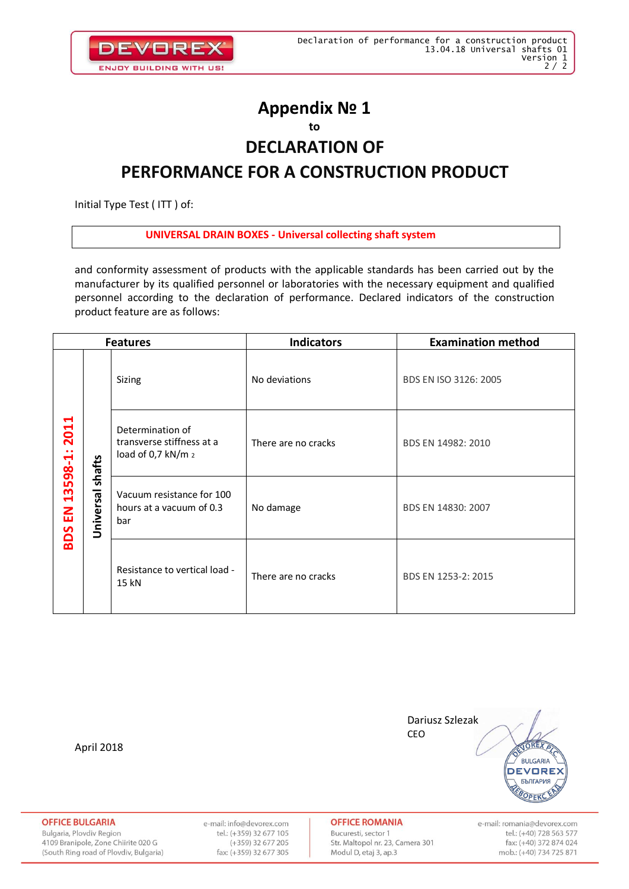

### **Appendix № 1 to**

# **DECLARATION OF**

### **PERFORMANCE FOR A CONSTRUCTION PRODUCT**

Initial Type Test ( ITT ) of:

#### **UNIVERSAL DRAIN BOXES - Universal collecting shaft system**

and conformity assessment of products with the applicable standards has been carried out by the manufacturer by its qualified personnel or laboratories with the necessary equipment and qualified personnel according to the declaration of performance. Declared indicators of the construction product feature are as follows:

| <b>Features</b>                         |                     |                                                                     | <b>Indicators</b>   | <b>Examination method</b> |
|-----------------------------------------|---------------------|---------------------------------------------------------------------|---------------------|---------------------------|
| H<br>201<br>13598-1:<br>룹<br><b>SOS</b> | shafts<br>Universal | Sizing                                                              | No deviations       | BDS EN ISO 3126: 2005     |
|                                         |                     | Determination of<br>transverse stiffness at a<br>load of 0,7 kN/m 2 | There are no cracks | BDS EN 14982: 2010        |
|                                         |                     | Vacuum resistance for 100<br>hours at a vacuum of 0.3<br>bar        | No damage           | BDS EN 14830: 2007        |
|                                         |                     | Resistance to vertical load -<br>15 kN                              | There are no cracks | BDS EN 1253-2: 2015       |

April 2018



**OFFICE BULGARIA** 

Bulgaria, Plovdiv Region 4109 Branipole, Zone Chiirite 020 G (South Ring road of Plovdiv, Bulgaria) e-mail: info@devorex.com tel.: (+359) 32 677 105  $(+359)$  32 677 205 fax: (+359) 32 677 305

**OFFICE ROMANIA** 

Bucuresti, sector 1 Str. Maltopol nr. 23, Camera 301 Modul D, etaj 3, ap.3

e-mail: romania@devorex.com tel.: (+40) 728 563 577 fax: (+40) 372 874 024 mob.: (+40) 734 725 871

OPEK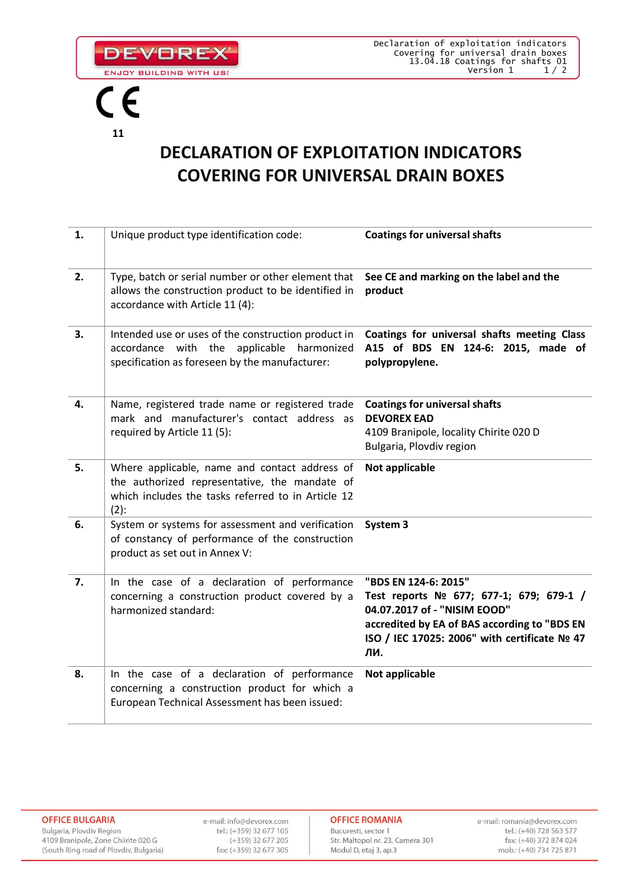

**DEVOREX** ENJOY BUILDING WITH US!

## **DECLARATION OF EXPLOITATION INDICATORS COVERING FOR UNIVERSAL DRAIN BOXES**

| 1. | Unique product type identification code:                                                                                                                        | <b>Coatings for universal shafts</b>                                                                                                                                                                   |
|----|-----------------------------------------------------------------------------------------------------------------------------------------------------------------|--------------------------------------------------------------------------------------------------------------------------------------------------------------------------------------------------------|
| 2. | Type, batch or serial number or other element that<br>allows the construction product to be identified in<br>accordance with Article 11 (4):                    | See CE and marking on the label and the<br>product                                                                                                                                                     |
| 3. | Intended use or uses of the construction product in<br>accordance with the applicable<br>harmonized<br>specification as foreseen by the manufacturer:           | Coatings for universal shafts meeting Class<br>A15 of BDS EN 124-6: 2015, made of<br>polypropylene.                                                                                                    |
| 4. | Name, registered trade name or registered trade<br>mark and manufacturer's contact address as<br>required by Article 11 (5):                                    | <b>Coatings for universal shafts</b><br><b>DEVOREX EAD</b><br>4109 Branipole, locality Chirite 020 D<br>Bulgaria, Plovdiv region                                                                       |
| 5. | Where applicable, name and contact address of<br>the authorized representative, the mandate of<br>which includes the tasks referred to in Article 12<br>$(2)$ : | Not applicable                                                                                                                                                                                         |
| 6. | System or systems for assessment and verification<br>of constancy of performance of the construction<br>product as set out in Annex V:                          | System 3                                                                                                                                                                                               |
| 7. | In the case of a declaration of performance<br>concerning a construction product covered by a<br>harmonized standard:                                           | "BDS EN 124-6: 2015"<br>Test reports № 677; 677-1; 679; 679-1 /<br>04.07.2017 of - "NISIM EOOD"<br>accredited by EA of BAS according to "BDS EN<br>ISO / IEC 17025: 2006" with certificate № 47<br>ЛИ. |
| 8. | In the case of a declaration of performance<br>concerning a construction product for which a<br>European Technical Assessment has been issued:                  | Not applicable                                                                                                                                                                                         |

e-mail: info@devorex.com tel.: (+359) 32 677 105 (+359) 32 677 205 fax: (+359) 32 677 305 **OFFICE ROMANIA** 

Bucuresti, sector 1 Str. Maltopol nr. 23, Camera 301 Modul D, etaj 3, ap.3